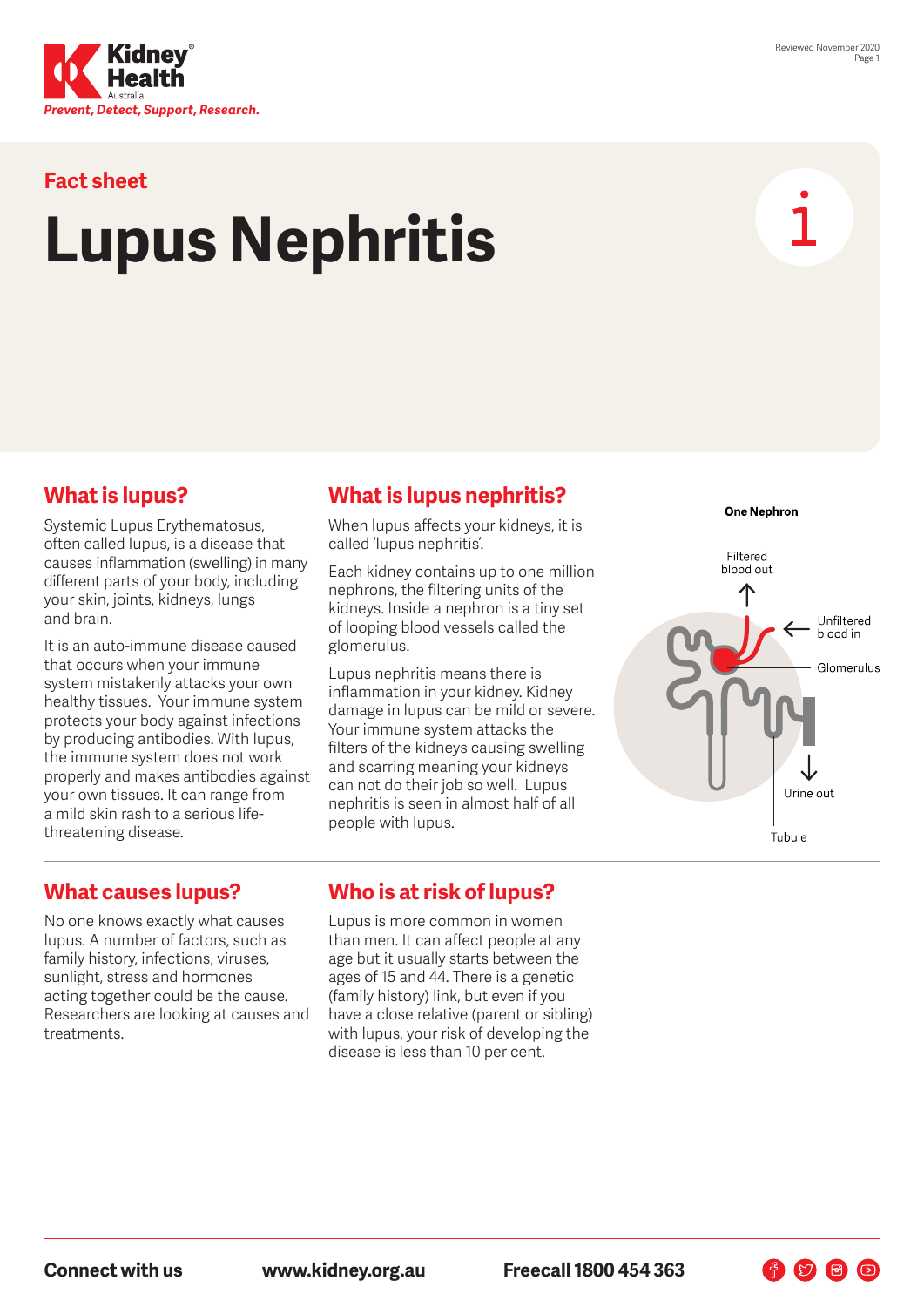

#### **Fact sheet**

# **Lupus Nephritis**



### **What is lupus?**

Systemic Lupus Erythematosus, often called lupus, is a disease that causes inflammation (swelling) in many different parts of your body, including your skin, joints, kidneys, lungs and brain.

It is an auto-immune disease caused that occurs when your immune system mistakenly attacks your own healthy tissues. Your immune system protects your body against infections by producing antibodies. With lupus, the immune system does not work properly and makes antibodies against your own tissues. It can range from a mild skin rash to a serious lifethreatening disease.

#### **What is lupus nephritis?**

When lupus affects your kidneys, it is called 'lupus nephritis'.

Each kidney contains up to one million nephrons, the filtering units of the kidneys. Inside a nephron is a tiny set of looping blood vessels called the glomerulus.

Lupus nephritis means there is inflammation in your kidney. Kidney damage in lupus can be mild or severe. Your immune system attacks the filters of the kidneys causing swelling and scarring meaning your kidneys can not do their job so well. Lupus nephritis is seen in almost half of all people with lupus.



 $\n **F**$ 

#### **What causes lupus?**

No one knows exactly what causes lupus. A number of factors, such as family history, infections, viruses, sunlight, stress and hormones acting together could be the cause. Researchers are looking at causes and treatments.

#### **Who is at risk of lupus?**

Lupus is more common in women than men. It can affect people at any age but it usually starts between the ages of 15 and 44. There is a genetic (family history) link, but even if you have a close relative (parent or sibling) with lupus, your risk of developing the disease is less than 10 per cent.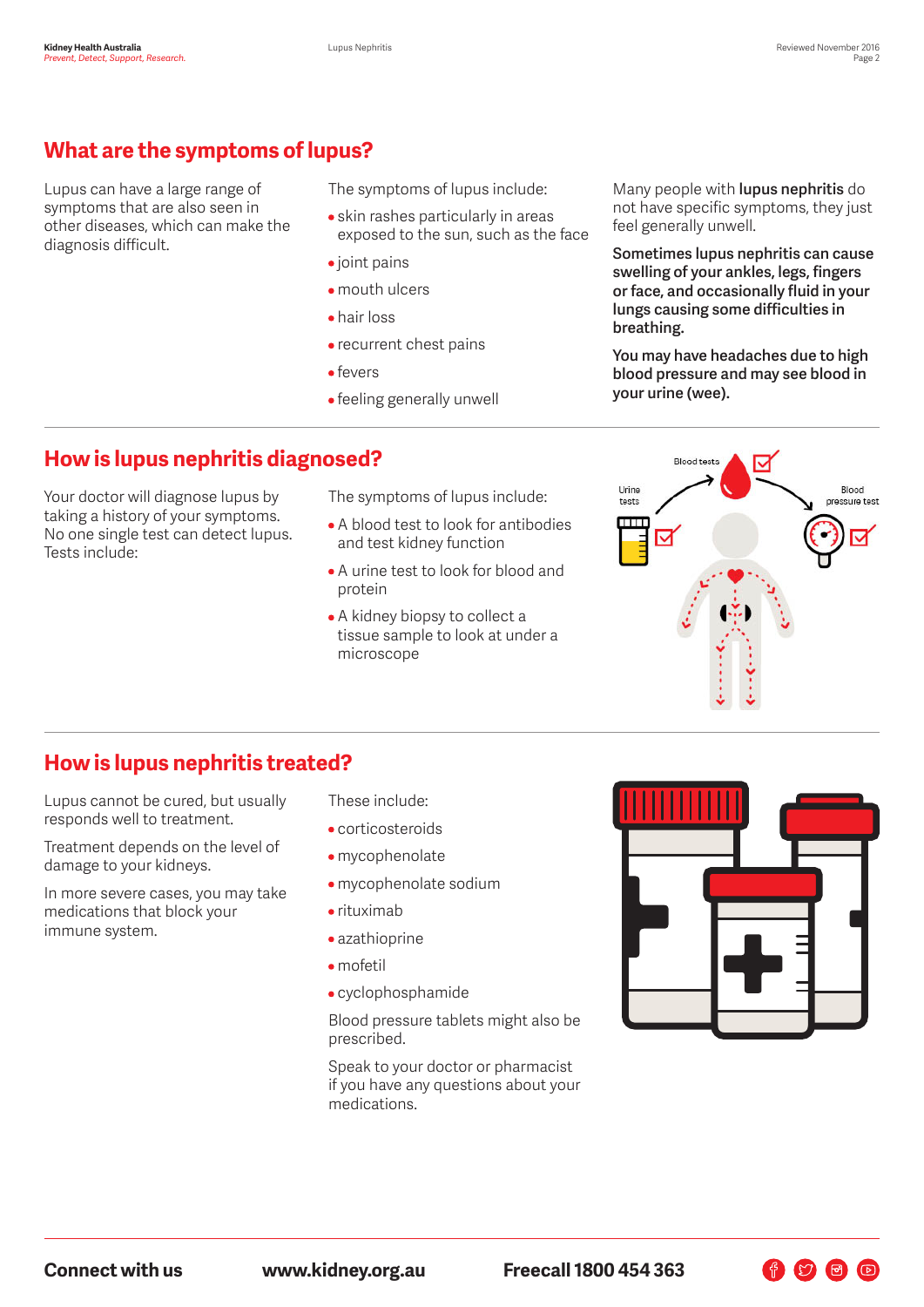## **What are the symptoms of lupus?**

Lupus can have a large range of symptoms that are also seen in other diseases, which can make the diagnosis difficult.

The symptoms of lupus include:

- skin rashes particularly in areas exposed to the sun, such as the face
- joint pains
- mouth ulcers
- hair loss
- recurrent chest pains
- fevers
- feeling generally unwell

Many people with **lupus nephritis** do not have specific symptoms, they just feel generally unwell.

**Sometimes lupus nephritis can cause swelling of your ankles, legs, fingers or face, and occasionally fluid in your lungs causing some difficulties in breathing.** 

**You may have headaches due to high blood pressure and may see blood in your urine (wee).**

#### **How is lupus nephritis diagnosed?**

Your doctor will diagnose lupus by taking a history of your symptoms. No one single test can detect lupus. Tests include:

The symptoms of lupus include:

- A blood test to look for antibodies and test kidney function
- A urine test to look for blood and protein
- A kidney biopsy to collect a tissue sample to look at under a microscope



#### **How is lupus nephritis treated?**

Lupus cannot be cured, but usually responds well to treatment.

Treatment depends on the level of damage to your kidneys.

In more severe cases, you may take medications that block your immune system.

These include:

- corticosteroids
- mycophenolate
- mycophenolate sodium
- rituximab
- azathioprine
- mofetil
- cyclophosphamide

Blood pressure tablets might also be prescribed.

Speak to your doctor or pharmacist if you have any questions about your medications.



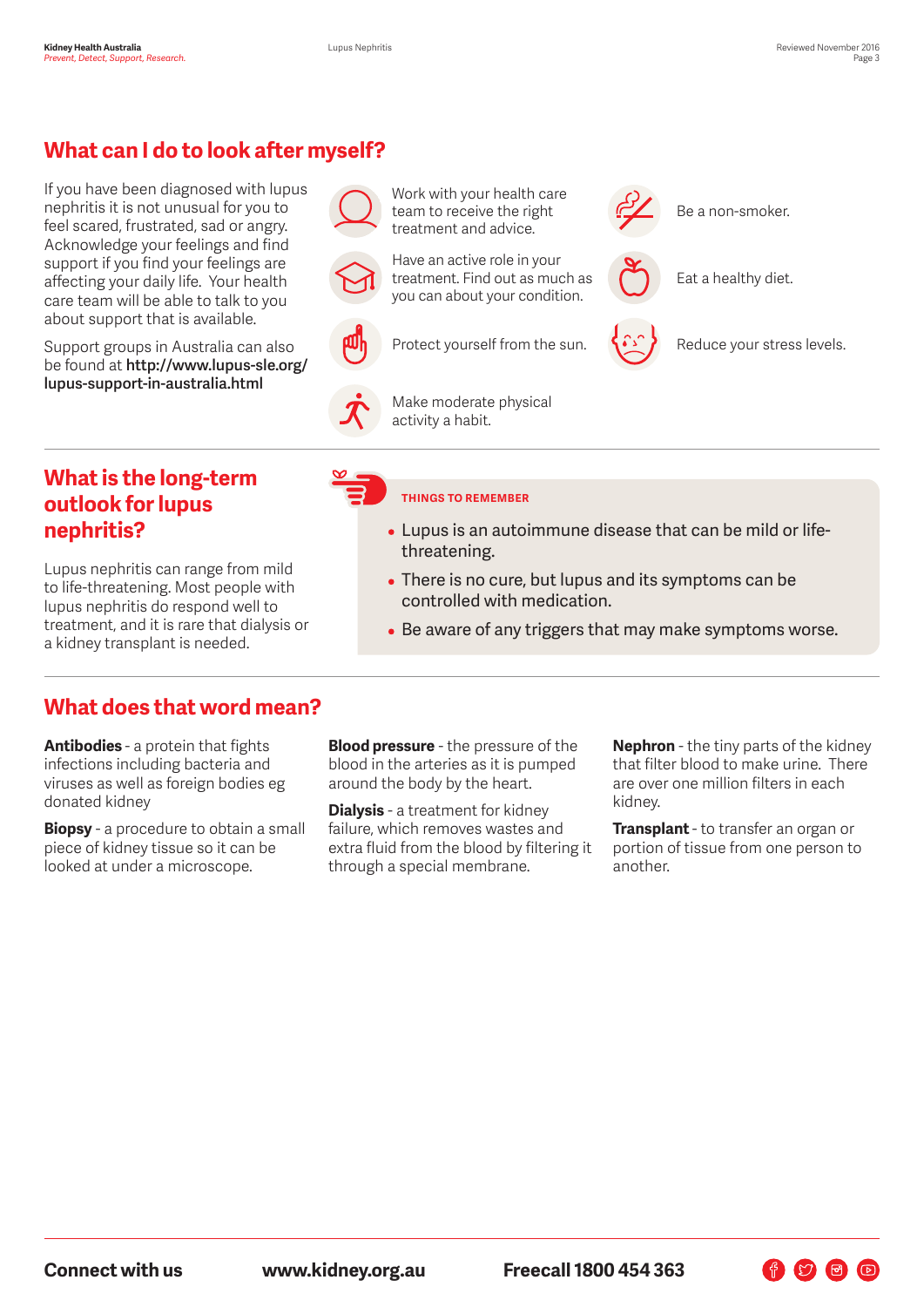# **What can I do to look after myself?**

If you have been diagnosed with lupus nephritis it is not unusual for you to feel scared, frustrated, sad or angry. Acknowledge your feelings and find support if you find your feelings are affecting your daily life. Your health care team will be able to talk to you about support that is available.

Support groups in Australia can also be found at **http://www.lupus-sle.org/ lupus-support-in-australia.html**



Work with your health care team to receive the right treatment and advice.

Have an active role in your treatment. Find out as much as you can about your condition.





Be a non-smoker.

Eat a healthy diet.



Reduce your stress levels.

#### **What is the long-term outlook for lupus nephritis?**

Lupus nephritis can range from mild to life-threatening. Most people with lupus nephritis do respond well to treatment, and it is rare that dialysis or a kidney transplant is needed.

#### **THINGS TO REMEMBER**

Make moderate physical

activity a habit.

- Lupus is an autoimmune disease that can be mild or lifethreatening.
- There is no cure, but lupus and its symptoms can be controlled with medication.
- Be aware of any triggers that may make symptoms worse.

#### **What does that word mean?**

**Antibodies** - a protein that fights infections including bacteria and viruses as well as foreign bodies eg donated kidney

**Biopsy** - a procedure to obtain a small piece of kidney tissue so it can be looked at under a microscope.

**Blood pressure** - the pressure of the blood in the arteries as it is pumped around the body by the heart.

**Dialysis** - a treatment for kidney failure, which removes wastes and extra fluid from the blood by filtering it through a special membrane.

**Nephron** - the tiny parts of the kidney that filter blood to make urine. There are over one million filters in each kidney.

**Transplant** - to transfer an organ or portion of tissue from one person to another.

**Connect with us www.kidney.org.au Freecall 1800 454 363**